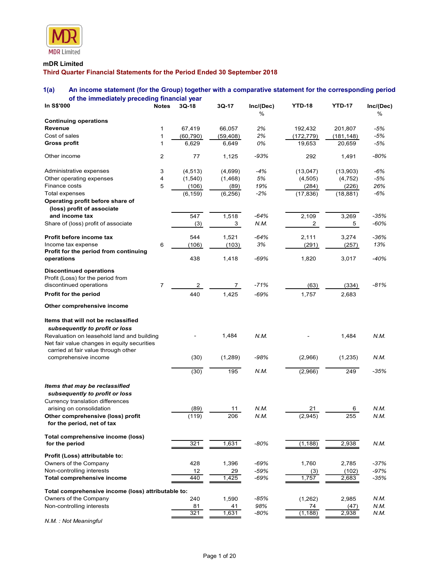

### mDR Limited

## Third Quarter Financial Statements for the Period Ended 30 September 2018

## 1(a) An income statement (for the Group) together with a comparative statement for the corresponding period of the immediately preceding financial year

| <b>MDR</b> Limited                                                                                             |                |                     |                     |                   |                       |                       |                |
|----------------------------------------------------------------------------------------------------------------|----------------|---------------------|---------------------|-------------------|-----------------------|-----------------------|----------------|
| mDR Limited<br>Third Quarter Financial Statements for the Period Ended 30 September 2018                       |                |                     |                     |                   |                       |                       |                |
| 1(a)<br>An income statement (for the Group) together with a comparative statement for the corresponding period |                |                     |                     |                   |                       |                       |                |
| of the immediately preceding financial year<br>In S\$'000                                                      |                | 3Q-18               |                     |                   | <b>YTD-18</b>         | <b>YTD-17</b>         |                |
|                                                                                                                | <b>Notes</b>   |                     | 3Q-17               | Inc/(Dec)<br>$\%$ |                       |                       | Inc/(Dec)<br>% |
| <b>Continuing operations</b>                                                                                   |                |                     |                     |                   |                       |                       |                |
| Revenue<br>Cost of sales                                                                                       | -1<br>1        | 67,419<br>(60, 790) | 66,057<br>(59, 408) | 2%<br>2%          | 192,432<br>(172, 779) | 201,807<br>(181, 148) | -5%<br>-5%     |
| Gross profit                                                                                                   | -1             | 6,629               | 6,649               | 0%                | 19,653                | 20,659                | -5%            |
| Other income                                                                                                   | $\overline{2}$ | 77                  | 1,125               | $-93%$            | 292                   | 1,491                 | $-80%$         |
| Administrative expenses                                                                                        | 3              | (4, 513)            | (4,699)             | $-4%$             | (13, 047)             | (13,903)              | -6%            |
| Other operating expenses                                                                                       | $\overline{4}$ | (1,540)             | (1, 468)            | 5%                | (4, 505)              | (4, 752)              | -5%            |
| Finance costs                                                                                                  | 5              | (106)               | (89)                | 19%               | (284)                 | (226)                 | 26%            |
| Total expenses<br>Operating profit before share of<br>(loss) profit of associate                               |                | (6, 159)            | (6, 256)            | $-2%$             | (17, 836)             | (18, 881)             | -6%            |
| and income tax                                                                                                 |                | 547                 | 1,518               | $-64%$            | 2,109                 | 3,269                 | $-35%$         |
| Share of (loss) profit of associate                                                                            |                | (3)                 | 3                   | N.M.              | 2                     | 5                     | $-60%$         |
| Profit before income tax                                                                                       |                | 544                 | 1,521               | $-64%$            | 2,111                 | 3,274                 | $-36%$         |
| Income tax expense                                                                                             | 6              | (106)               | (103)               | $3\%$             | (291)                 | (257)                 | 13%            |
| Profit for the period from continuing<br>operations                                                            |                | 438                 | 1,418               | -69%              | 1,820                 | 3,017                 | $-40%$         |
| <b>Discontinued operations</b>                                                                                 |                |                     |                     |                   |                       |                       |                |
| Profit (Loss) for the period from<br>discontinued operations                                                   | $\overline{7}$ | $\overline{2}$      | $\overline{7}$      | $-71%$            |                       | (334)                 | $-81%$         |
| Profit for the period                                                                                          |                | 440                 | 1,425               | $-69%$            | (63)<br>1,757         | 2,683                 |                |
| Other comprehensive income                                                                                     |                |                     |                     |                   |                       |                       |                |
| Items that will not be reclassified                                                                            |                |                     |                     |                   |                       |                       |                |
| subsequently to profit or loss<br>Revaluation on leasehold land and building                                   |                |                     | 1,484               | N.M.              |                       | 1,484                 | N.M.           |
| Net fair value changes in equity securities<br>carried at fair value through other<br>comprehensive income     |                | (30)                | (1,289)             | -98%              | (2,966)               | (1, 235)              | N.M.           |
|                                                                                                                |                |                     |                     |                   |                       |                       |                |
|                                                                                                                |                | (30)                | 195                 | N.M.              | (2,966)               | 249                   | $-35%$         |
| Items that may be reclassified<br>subsequently to profit or loss                                               |                |                     |                     |                   |                       |                       |                |
| Currency translation differences<br>arising on consolidation                                                   |                | (89)                | 11                  | N.M.              | 21                    | 6                     | N.M.           |
| Other comprehensive (loss) profit<br>for the period, net of tax                                                |                | (119)               | 206                 | N.M.              | (2, 945)              | 255                   | N.M.           |
| Total comprehensive income (loss)<br>for the period                                                            |                | 321                 | 1,631               | -80%              | (1, 188)              | 2,938                 | N.M.           |
|                                                                                                                |                |                     |                     |                   |                       |                       |                |
| Profit (Loss) attributable to:<br>Owners of the Company                                                        |                | 428                 | 1,396               | $-69%$            | 1,760                 | 2,785                 | $-37%$         |
| Non-controlling interests                                                                                      |                | $12$                | 29                  | -59%              | (3)                   | (102)                 | $-97%$         |
| Total comprehensive income                                                                                     |                | 440                 | 1,425               | $-69%$            | 1,757                 | 2,683                 | $-35%$         |
| Total comprehensive income (loss) attributable to:                                                             |                |                     |                     |                   |                       |                       |                |
| Owners of the Company                                                                                          |                | 240                 | 1,590               | $-85%$            | (1, 262)              | 2,985                 | N.M.           |
| Non-controlling interests                                                                                      |                | 81<br>321           | 41<br>1,631         | 98%<br>-80%       | 74<br>(1, 188)        | (47)<br>2,938         | N.M.<br>N.M.   |
|                                                                                                                |                |                     |                     |                   |                       |                       |                |

N.M. : Not Meaningful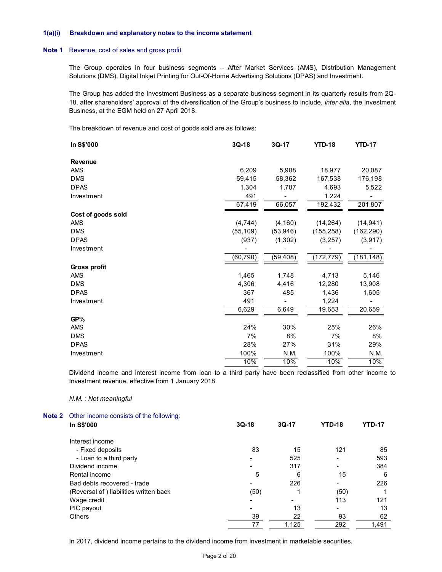#### 1(a)(i) Breakdown and explanatory notes to the income statement

#### Note 1 Revenue, cost of sales and gross profit

| Breakdown and explanatory notes to the income statement                                                                                                                                                                                                                                       |           |                |               |                          |
|-----------------------------------------------------------------------------------------------------------------------------------------------------------------------------------------------------------------------------------------------------------------------------------------------|-----------|----------------|---------------|--------------------------|
| Revenue, cost of sales and gross profit                                                                                                                                                                                                                                                       |           |                |               |                          |
| The Group operates in four business segments - After Market Services (AMS), Distribution Management<br>Solutions (DMS), Digital Inkjet Printing for Out-Of-Home Advertising Solutions (DPAS) and Investment.                                                                                  |           |                |               |                          |
| The Group has added the Investment Business as a separate business segment in its quarterly results from 2Q-<br>18, after shareholders' approval of the diversification of the Group's business to include, <i>inter alia</i> , the Investment<br>Business, at the EGM held on 27 April 2018. |           |                |               |                          |
| The breakdown of revenue and cost of goods sold are as follows:                                                                                                                                                                                                                               |           |                |               |                          |
| In S\$'000                                                                                                                                                                                                                                                                                    | $3Q-18$   | $3Q-17$        | <b>YTD-18</b> | <b>YTD-17</b>            |
| Revenue                                                                                                                                                                                                                                                                                       |           |                |               |                          |
| AMS                                                                                                                                                                                                                                                                                           | 6,209     | 5,908          | 18,977        | 20,087                   |
| <b>DMS</b>                                                                                                                                                                                                                                                                                    | 59,415    | 58,362         | 167,538       | 176,198                  |
| <b>DPAS</b>                                                                                                                                                                                                                                                                                   | 1,304     | 1,787          | 4,693         | 5,522                    |
| Investment                                                                                                                                                                                                                                                                                    | 491       |                | 1,224         |                          |
|                                                                                                                                                                                                                                                                                               | 67,419    | 66,057         | 192,432       | 201,807                  |
|                                                                                                                                                                                                                                                                                               |           |                |               |                          |
| Cost of goods sold                                                                                                                                                                                                                                                                            |           |                |               |                          |
| AMS                                                                                                                                                                                                                                                                                           | (4, 744)  | (4, 160)       | (14, 264)     | (14, 941)                |
| DMS                                                                                                                                                                                                                                                                                           | (55, 109) | (53, 946)      | (155, 258)    | (162, 290)               |
| <b>DPAS</b>                                                                                                                                                                                                                                                                                   | (937)     | (1, 302)       | (3,257)       | (3, 917)                 |
| Investment                                                                                                                                                                                                                                                                                    |           |                |               | $\overline{\phantom{a}}$ |
|                                                                                                                                                                                                                                                                                               | (60, 790) | (59, 408)      | (172, 779)    | (181, 148)               |
| Gross profit                                                                                                                                                                                                                                                                                  |           |                |               |                          |
| AMS                                                                                                                                                                                                                                                                                           | 1,465     | 1,748          | 4,713         | 5,146                    |
| <b>DMS</b>                                                                                                                                                                                                                                                                                    | 4,306     | 4,416          | 12,280        | 13,908                   |
| <b>DPAS</b>                                                                                                                                                                                                                                                                                   | 367       | 485            | 1,436         | 1,605                    |
| Investment                                                                                                                                                                                                                                                                                    | 491       |                | 1,224         | $\blacksquare$           |
|                                                                                                                                                                                                                                                                                               | 6,629     | 6,649          | 19,653        | 20,659                   |
| GP%                                                                                                                                                                                                                                                                                           |           |                |               |                          |
| AMS                                                                                                                                                                                                                                                                                           | 24%       | 30%            | 25%           | 26%                      |
| <b>DMS</b>                                                                                                                                                                                                                                                                                    | 7%        | 8%             | 7%            | 8%                       |
| <b>DPAS</b>                                                                                                                                                                                                                                                                                   | 28%       | 27%            | 31%           | 29%                      |
| Investment                                                                                                                                                                                                                                                                                    | 100%      | N.M.           | 100%          | N.M.                     |
|                                                                                                                                                                                                                                                                                               | 10%       | 10%            | 10%           | 10%                      |
| Dividend income and interest income from loan to a third party have been reclassified from other income to<br>nvestment revenue, effective from 1 January 2018.                                                                                                                               |           |                |               |                          |
| N.M. : Not meaningful                                                                                                                                                                                                                                                                         |           |                |               |                          |
|                                                                                                                                                                                                                                                                                               |           |                |               |                          |
| Other income consists of the following:<br>In S\$'000                                                                                                                                                                                                                                         | $3Q-18$   | 3Q-17          | <b>YTD-18</b> | <b>YTD-17</b>            |
| Interest income                                                                                                                                                                                                                                                                               |           |                |               |                          |
| - Fixed deposits                                                                                                                                                                                                                                                                              | 83        | 15             | 121           | 85                       |
| - Loan to a third party                                                                                                                                                                                                                                                                       |           | 525            |               | 593                      |
| Dividend income                                                                                                                                                                                                                                                                               |           | 317            |               | 384                      |
| Rental income                                                                                                                                                                                                                                                                                 | 5         | 6              | 15            | 6                        |
| Bad debts recovered - trade                                                                                                                                                                                                                                                                   |           | 226            |               | 226                      |
| (Reversal of) liabilities written back                                                                                                                                                                                                                                                        | (50)      | 1              | (50)          | -1                       |
| Wage credit                                                                                                                                                                                                                                                                                   |           | $\blacksquare$ | 113           | 121                      |
|                                                                                                                                                                                                                                                                                               |           |                |               |                          |

#### N.M. : Not meaningful

| <b>Note 2</b> Other income consists of the following: |         |                |                          |               |  |
|-------------------------------------------------------|---------|----------------|--------------------------|---------------|--|
| In S\$'000                                            | $3Q-18$ | $3Q-17$        | <b>YTD-18</b>            | <b>YTD-17</b> |  |
| Interest income                                       |         |                |                          |               |  |
| - Fixed deposits                                      | 83      | 15             | 121                      | 85            |  |
| - Loan to a third party                               |         | 525            |                          | 593           |  |
| Dividend income                                       |         | 317            |                          | 384           |  |
| Rental income                                         | 5       | 6              | 15                       | 6             |  |
| Bad debts recovered - trade                           |         | 226            | $\overline{\phantom{0}}$ | 226           |  |
| (Reversal of) liabilities written back                | (50)    |                | (50)                     |               |  |
| Wage credit                                           |         | $\blacksquare$ | 113                      | 121           |  |
| PIC payout                                            |         | 13             | $\overline{\phantom{0}}$ | 13            |  |
| <b>Others</b>                                         | 39      | 22             | 93                       | 62            |  |
|                                                       | 77      | 1,125          | 292                      | 1,491         |  |

In 2017, dividend income pertains to the dividend income from investment in marketable securities.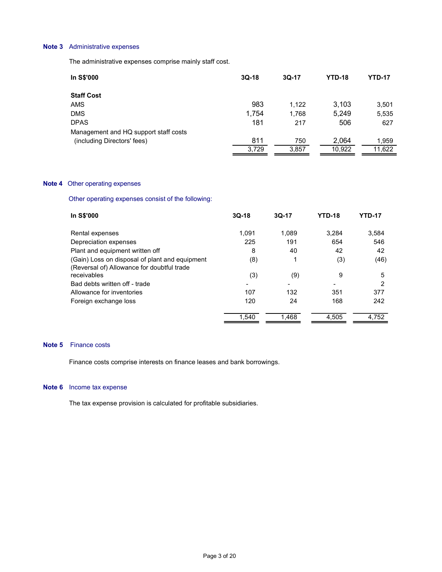### Note 3 Administrative expenses

| Administrative expenses                                 |         |              |               |               |
|---------------------------------------------------------|---------|--------------|---------------|---------------|
| The administrative expenses comprise mainly staff cost. |         |              |               |               |
| In S\$'000                                              | $3Q-18$ | 3Q-17        | <b>YTD-18</b> | <b>YTD-17</b> |
| <b>Staff Cost</b>                                       |         |              |               |               |
| AMS                                                     | 983     | 1,122        | 3,103         | 3,501         |
| <b>DMS</b>                                              | 1,754   | 1,768        | 5,249         | 5,535         |
| <b>DPAS</b><br>Management and HQ support staff costs    | 181     | 217          | 506           | 627           |
| (including Directors' fees)                             | 811     | 750          | 2,064         | 1,959         |
|                                                         | 3,729   | 3,857        | 10,922        | 11,622        |
| Other operating expenses                                |         |              |               |               |
| Other operating expenses consist of the following:      |         |              |               |               |
| In S\$'000                                              | $3Q-18$ | $3Q-17$      | <b>YTD-18</b> | <b>YTD-17</b> |
| Rental expenses                                         | 1,091   | 1,089        | 3,284         | 3,584         |
| Depreciation expenses                                   | 225     | 191          | 654           | 546           |
| Plant and equipment written off                         | $\bf 8$ | 40           | 42            | 42            |
| (Gain) Loss on disposal of plant and equipment          | (8)     | $\mathbf{1}$ | (3)           | (46)          |

#### **Note 4** Other operating expenses

| AMS                                                | 983     | 1,122   | 3,103         | 3,501         |
|----------------------------------------------------|---------|---------|---------------|---------------|
| <b>DMS</b>                                         | 1,754   | 1,768   | 5,249         | 5,535         |
| <b>DPAS</b>                                        | 181     | 217     | 506           | 627           |
| Management and HQ support staff costs              |         |         |               |               |
| (including Directors' fees)                        | 811     | 750     | 2,064         | 1,959         |
|                                                    | 3,729   | 3,857   | 10,922        | 11,622        |
|                                                    |         |         |               |               |
|                                                    |         |         |               |               |
| Other operating expenses                           |         |         |               |               |
| Other operating expenses consist of the following: |         |         |               |               |
| In S\$'000                                         | $3Q-18$ | $3Q-17$ | <b>YTD-18</b> | <b>YTD-17</b> |
| Rental expenses                                    | 1,091   | 1,089   | 3,284         | 3,584         |
| Depreciation expenses                              | 225     | 191     | 654           | 546           |
| Plant and equipment written off                    | 8       | 40      | 42            | 42            |
| (Gain) Loss on disposal of plant and equipment     | (8)     | 1       | (3)           | (46)          |
| (Reversal of) Allowance for doubtful trade         |         |         |               |               |
| receivables                                        | (3)     | (9)     | 9             | 5             |
| Bad debts written off - trade                      |         |         |               | 2             |
| Allowance for inventories                          | 107     | 132     | 351           | 377           |
| Foreign exchange loss                              | 120     | 24      | 168           | 242           |
|                                                    |         |         |               |               |

#### Note 5 Finance costs

Finance costs comprise interests on finance leases and bank borrowings.

### Note 6 Income tax expense

The tax expense provision is calculated for profitable subsidiaries.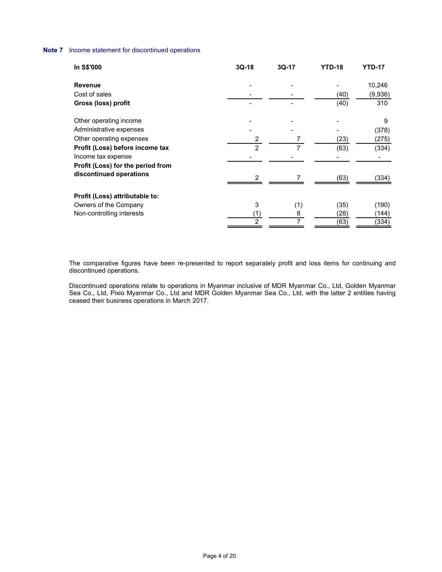### Note 7 Income statement for discontinued operations

| ncome statement for discontinued operations         |                                    |                          |                            |                       |
|-----------------------------------------------------|------------------------------------|--------------------------|----------------------------|-----------------------|
| In S\$'000                                          | $3Q-18$                            | 3Q-17                    | <b>YTD-18</b>              | <b>YTD-17</b>         |
| Revenue                                             |                                    |                          | $\blacksquare$             | 10,246                |
| Cost of sales                                       | $\overline{\phantom{a}}$           | $\overline{\phantom{a}}$ | (40)                       | (9,936)               |
| Gross (loss) profit                                 | $\overline{\phantom{a}}$           |                          | (40)                       | 310                   |
|                                                     |                                    |                          |                            | 9                     |
|                                                     |                                    |                          |                            | (378)                 |
| Other operating income                              |                                    |                          |                            |                       |
| Administrative expenses<br>Other operating expenses |                                    | 7                        |                            |                       |
| Profit (Loss) before income tax                     | $\boldsymbol{2}$<br>$\overline{2}$ | $\overline{7}$           | (23)<br>(63)               | (275)<br>(334)        |
| Income tax expense                                  |                                    |                          | $\blacksquare$             | $\sim$                |
| Profit (Loss) for the period from                   |                                    |                          |                            |                       |
| discontinued operations                             | $\boldsymbol{2}$                   | $\overline{7}$           | (63)                       | (334)                 |
|                                                     |                                    |                          |                            |                       |
| Profit (Loss) attributable to:                      |                                    |                          |                            |                       |
| Owners of the Company                               | 3                                  |                          |                            | (190)                 |
| Non-controlling interests                           | $\frac{(1)}{2}$                    | $\frac{(1)}{8}$          | $(35)$<br>$(28)$<br>$(63)$ | $\frac{(144)}{(334)}$ |

 The comparative figures have been re-presented to report separately profit and loss items for continuing and discontinued operations.

 Discontinued operations relate to operations in Myanmar inclusive of MDR Myanmar Co., Ltd, Golden Myanmar Sea Co., Ltd, Pixio Myanmar Co., Ltd and MDR Golden Myanmar Sea Co., Ltd, with the latter 2 entities having ceased their business operations in March 2017.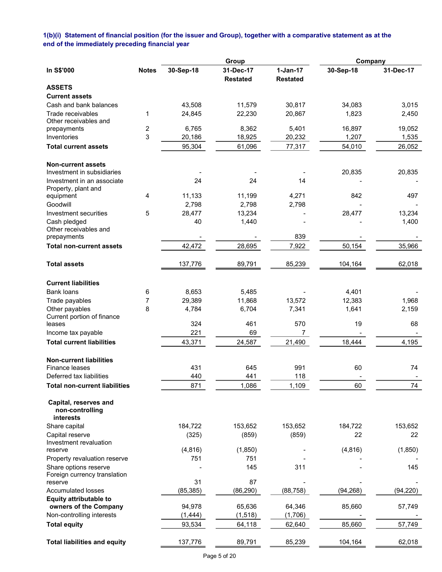# 1(b)(i) Statement of financial position (for the issuer and Group), together with a comparative statement as at the end of the immediately preceding financial year

|                                                       |                |           | Group                        | Company                       |           |           |
|-------------------------------------------------------|----------------|-----------|------------------------------|-------------------------------|-----------|-----------|
| In S\$'000                                            | <b>Notes</b>   | 30-Sep-18 | 31-Dec-17<br><b>Restated</b> | $1-Jan-17$<br><b>Restated</b> | 30-Sep-18 | 31-Dec-17 |
| <b>ASSETS</b>                                         |                |           |                              |                               |           |           |
| <b>Current assets</b>                                 |                |           |                              |                               |           |           |
| Cash and bank balances                                |                | 43,508    | 11,579                       | 30,817                        | 34,083    | 3,015     |
| Trade receivables                                     | 1              | 24,845    | 22,230                       | 20,867                        | 1,823     | 2,450     |
| Other receivables and                                 |                |           |                              |                               |           |           |
| prepayments                                           | $\overline{c}$ | 6,765     | 8,362                        | 5,401                         | 16,897    | 19,052    |
| Inventories                                           | 3              | 20,186    | 18,925                       | 20,232                        | 1,207     | 1,535     |
| Total current assets                                  |                | 95,304    | 61,096                       | 77,317                        | 54,010    | 26,052    |
| <b>Non-current assets</b>                             |                |           |                              |                               |           |           |
| Investment in subsidiaries                            |                |           |                              |                               | 20,835    | 20,835    |
| Investment in an associate                            |                | 24        | 24                           | 14                            |           |           |
| Property, plant and                                   | 4              | 11,133    | 11,199                       | 4,271                         | 842       | 497       |
| equipment<br>Goodwill                                 |                | 2,798     | 2,798                        | 2,798                         |           |           |
| Investment securities                                 |                |           |                              |                               |           | 13,234    |
|                                                       | 5              | 28,477    | 13,234                       |                               | 28,477    |           |
| Cash pledged<br>Other receivables and                 |                | 40        | 1,440                        |                               |           | 1,400     |
| prepayments                                           |                |           |                              | 839                           |           |           |
| <b>Total non-current assets</b>                       |                | 42,472    | 28,695                       | 7,922                         | 50,154    | 35,966    |
| <b>Total assets</b>                                   |                | 137,776   | 89,791                       | 85,239                        | 104,164   | 62,018    |
|                                                       |                |           |                              |                               |           |           |
| <b>Current liabilities</b>                            |                |           |                              |                               |           |           |
| <b>Bank loans</b>                                     | 6              | 8,653     | 5,485                        |                               | 4,401     |           |
| Trade payables                                        | 7              | 29,389    | 11,868                       | 13,572                        | 12,383    | 1,968     |
| Other payables                                        | 8              | 4,784     | 6,704                        | 7,341                         | 1,641     | 2,159     |
| Current portion of finance                            |                |           |                              |                               |           |           |
| leases                                                |                | 324       | 461                          | 570                           | 19        | 68        |
| Income tax payable                                    |                | 221       | 69                           | $\overline{7}$                |           |           |
| <b>Total current liabilities</b>                      |                | 43,371    | 24,587                       | 21,490                        | 18,444    | 4,195     |
| <b>Non-current liabilities</b>                        |                |           |                              |                               |           |           |
| Finance leases                                        |                | 431       | 645                          | 991                           | 60        | 74        |
| Deferred tax liabilities                              |                | 440       | 441                          | 118                           |           |           |
| <b>Total non-current liabilities</b>                  |                | 871       | 1,086                        | 1,109                         | 60        | 74        |
| Capital, reserves and<br>non-controlling<br>interests |                |           |                              |                               |           |           |
| Share capital                                         |                | 184,722   | 153,652                      | 153,652                       | 184,722   | 153,652   |
| Capital reserve                                       |                | (325)     | (859)                        | (859)                         | 22        | 22        |
| Investment revaluation                                |                |           |                              |                               |           |           |
| reserve                                               |                | (4, 816)  | (1,850)                      |                               | (4, 816)  | (1, 850)  |
| Property revaluation reserve                          |                | 751       | 751                          |                               |           |           |
| Share options reserve                                 |                |           | 145                          | 311                           |           | 145       |
| Foreign currency translation                          |                |           |                              |                               |           |           |
| reserve                                               |                | 31        | 87                           |                               |           |           |
| <b>Accumulated losses</b>                             |                | (85, 385) | (86, 290)                    | (88, 758)                     | (94, 268) | (94, 220) |
| <b>Equity attributable to</b>                         |                |           |                              |                               |           |           |
| owners of the Company                                 |                | 94,978    | 65,636                       | 64,346                        | 85,660    | 57,749    |
| Non-controlling interests                             |                | (1, 444)  | (1, 518)                     | (1,706)                       |           |           |
| <b>Total equity</b>                                   |                | 93,534    | 64,118                       | 62,640                        | 85,660    | 57,749    |
| <b>Total liabilities and equity</b>                   |                | 137,776   | 89,791                       | 85,239                        | 104,164   | 62,018    |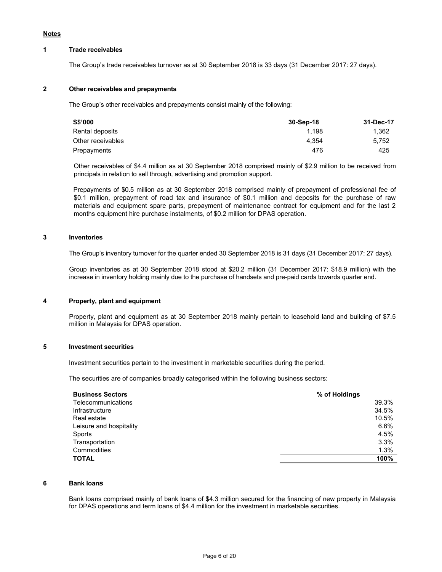#### Notes

#### 1 Trade receivables

The Group's trade receivables turnover as at 30 September 2018 is 33 days (31 December 2017: 27 days).

### 2 Other receivables and prepayments

The Group's other receivables and prepayments consist mainly of the following:

| 1.362 |
|-------|
| 5.752 |
| 425   |
|       |

Other receivables of \$4.4 million as at 30 September 2018 comprised mainly of \$2.9 million to be received from principals in relation to sell through, advertising and promotion support.

Prepayments of \$0.5 million as at 30 September 2018 comprised mainly of prepayment of professional fee of \$0.1 million, prepayment of road tax and insurance of \$0.1 million and deposits for the purchase of raw materials and equipment spare parts, prepayment of maintenance contract for equipment and for the last 2 months equipment hire purchase instalments, of \$0.2 million for DPAS operation.

### 3 Inventories

The Group's inventory turnover for the quarter ended 30 September 2018 is 31 days (31 December 2017: 27 days).

 Group inventories as at 30 September 2018 stood at \$20.2 million (31 December 2017: \$18.9 million) with the increase in inventory holding mainly due to the purchase of handsets and pre-paid cards towards quarter end.

#### 4 Property, plant and equipment

 Property, plant and equipment as at 30 September 2018 mainly pertain to leasehold land and building of \$7.5 million in Malaysia for DPAS operation.

### 5 Investment securities

Investment securities pertain to the investment in marketable securities during the period.

The securities are of companies broadly categorised within the following business sectors:

| <b>Business Sectors</b> | % of Holdings |
|-------------------------|---------------|
| Telecommunications      | 39.3%         |
| Infrastructure          | 34.5%         |
| Real estate             | 10.5%         |
| Leisure and hospitality | 6.6%          |
| Sports                  | 4.5%          |
| Transportation          | 3.3%          |
| Commodities             | 1.3%          |
| <b>TOTAL</b>            | 100%          |

#### 6 Bank loans

Bank loans comprised mainly of bank loans of \$4.3 million secured for the financing of new property in Malaysia for DPAS operations and term loans of \$4.4 million for the investment in marketable securities.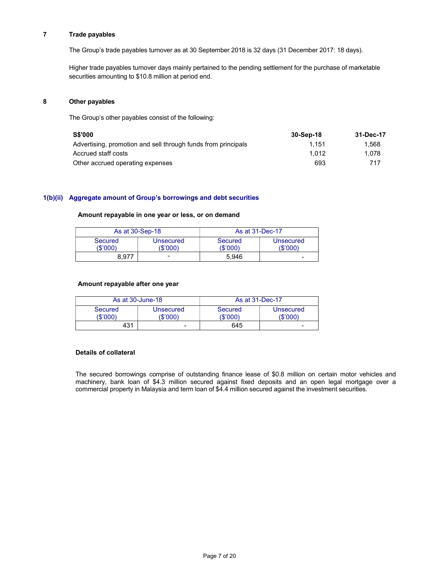## 7 Trade payables

The Group's trade payables turnover as at 30 September 2018 is 32 days (31 December 2017: 18 days).

Higher trade payables turnover days mainly pertained to the pending settlement for the purchase of marketable securities amounting to \$10.8 million at period end.

#### 8 Other payables

The Group's other payables consist of the following:

| <b>S\$'000</b>                                                | 30-Sep-18 | 31-Dec-17 |
|---------------------------------------------------------------|-----------|-----------|
| Advertising, promotion and sell through funds from principals | 1.151     | 1.568     |
| Accrued staff costs                                           | 1.012     | 1.078     |
| Other accrued operating expenses                              | 693       | 717       |

#### 1(b)(ii) Aggregate amount of Group's borrowings and debt securities

#### Amount repayable in one year or less, or on demand

|                     | As at 30-Sep-18       | As at 31-Dec-17     |                              |
|---------------------|-----------------------|---------------------|------------------------------|
| Secured<br>(\$'000) | Unsecured<br>(\$'000) | Secured<br>(\$'000) | <b>Unsecured</b><br>(\$'000) |
| 8.977               | -                     | 5.946               | -                            |

#### Amount repayable after one year

|                     | As at 30-June-18      | As at 31-Dec-17   |                       |  |  |
|---------------------|-----------------------|-------------------|-----------------------|--|--|
| Secured<br>(\$'000) | Unsecured<br>(\$'000) | Secured<br>\$'000 | Unsecured<br>(\$'000) |  |  |
| 431                 | -                     | 645               | -                     |  |  |

#### Details of collateral

The secured borrowings comprise of outstanding finance lease of \$0.8 million on certain motor vehicles and machinery, bank loan of \$4.3 million secured against fixed deposits and an open legal mortgage over a commercial property in Malaysia and term loan of \$4.4 million secured against the investment securities.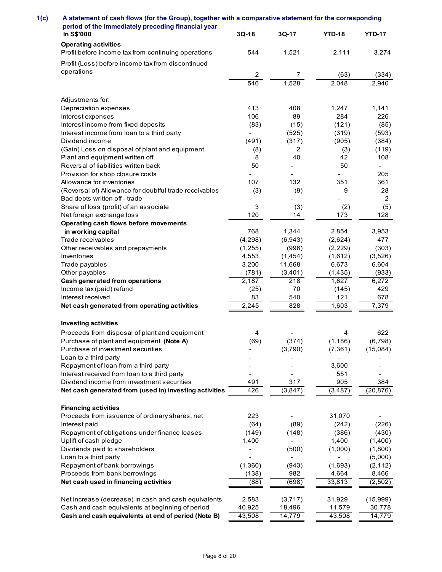| A statement of cash flows (for the Group), together with a comparative statement for the corresponding<br>period of the immediately preceding financial year |                 |                          |                          |                                 |
|--------------------------------------------------------------------------------------------------------------------------------------------------------------|-----------------|--------------------------|--------------------------|---------------------------------|
|                                                                                                                                                              |                 |                          |                          |                                 |
|                                                                                                                                                              |                 |                          |                          |                                 |
|                                                                                                                                                              |                 |                          |                          |                                 |
|                                                                                                                                                              |                 |                          |                          |                                 |
|                                                                                                                                                              |                 |                          |                          |                                 |
|                                                                                                                                                              |                 |                          |                          |                                 |
|                                                                                                                                                              |                 |                          |                          |                                 |
|                                                                                                                                                              |                 |                          |                          |                                 |
|                                                                                                                                                              |                 |                          |                          |                                 |
| In S\$'000                                                                                                                                                   | $3Q-18$         | $3Q-17$                  | <b>YTD-18</b>            | <b>YTD-17</b>                   |
| <b>Operating activities</b>                                                                                                                                  |                 |                          |                          |                                 |
| Profit before income tax from continuing operations                                                                                                          | 544             | 1,521                    | 2,111                    | 3,274                           |
| Profit (Loss) before income tax from discontinued                                                                                                            |                 |                          |                          |                                 |
| operations                                                                                                                                                   | $\mathbf{2}$    | $\overline{7}$           | (63)                     | (334)                           |
|                                                                                                                                                              | 546             | 1,528                    | 2,048                    | 2,940                           |
|                                                                                                                                                              |                 |                          |                          |                                 |
| Adjustments for:<br>Depreciation expenses                                                                                                                    | 413             | 408                      | 1,247                    | 1,141                           |
| Interest expenses                                                                                                                                            | 106             | 89                       | 284                      | 226                             |
| Interest income from fixed deposits                                                                                                                          | (83)            | (15)                     | (121)                    | (85)                            |
| Interest income from loan to a third party                                                                                                                   | $\blacksquare$  | (525)                    | (319)                    | (593)                           |
| Dividend income                                                                                                                                              | (491)           | (317)                    | (905)                    | (384)                           |
| (Gain) Loss on disposal of plant and equipment                                                                                                               | (8)             | 2                        | (3)                      | (119)                           |
| Plant and equipment written off                                                                                                                              | 8<br>50         | 40<br>$\sim$             | 42<br>50                 | 108<br>$\overline{\phantom{a}}$ |
| Reversal of liabilities written back<br>Provision for shop closure costs                                                                                     |                 |                          |                          | 205                             |
| Allowance for inventories                                                                                                                                    | 107             | 132                      | 351                      | 361                             |
| (Reversal of) Allowance for doubtful trade receivables                                                                                                       | (3)             | (9)                      | 9                        | 28                              |
| Bad debts written off - trade                                                                                                                                |                 |                          |                          | $\overline{2}$                  |
| Share of loss (profit) of an associate                                                                                                                       | 3               | (3)                      | (2)                      | (5)                             |
| Net foreign exchange loss                                                                                                                                    | 120             | 14                       | 173                      | 128                             |
| Operating cash flows before movements<br>in working capital                                                                                                  | 768             | 1,344                    | 2,854                    | 3,953                           |
| Trade receivables                                                                                                                                            | (4, 298)        | (6, 943)                 | (2,624)                  | 477                             |
| Other receivables and prepayments                                                                                                                            | (1,255)         | (996)                    | (2,229)                  | (303)                           |
| Inventories                                                                                                                                                  | 4,553           | (1, 454)                 | (1,612)                  | (3,526)                         |
| Trade payables                                                                                                                                               | 3,200           | 11,668                   | 6,673                    | 6,604                           |
| Other payables                                                                                                                                               | (781)           | (3,401)                  | (1, 435)                 | (933)                           |
| Cash generated from operations                                                                                                                               | 2,187           | 218                      | 1,627                    | 6,272                           |
| Income tax (paid) refund                                                                                                                                     | (25)            | 70                       | (145)                    | 429                             |
| Interest received<br>Net cash generated from operating activities                                                                                            | 83<br>2,245     | 540<br>828               | 121<br>1,603             | 678<br>7,379                    |
|                                                                                                                                                              |                 |                          |                          |                                 |
| <b>Investing activities</b>                                                                                                                                  |                 |                          |                          |                                 |
| Proceeds from disposal of plant and equipment                                                                                                                | 4               |                          |                          | 622                             |
| Purchase of plant and equipment (Note A)                                                                                                                     | (69)            | (374)                    | (1, 186)                 | (6, 798)                        |
| Purchase of investment securities                                                                                                                            |                 | (3,790)                  | (7, 361)                 | (15,084)                        |
| Loan to a third party                                                                                                                                        |                 | $\blacksquare$           | $\overline{\phantom{a}}$ |                                 |
| Repayment of loan from a third party                                                                                                                         |                 |                          | 3,600                    |                                 |
| Interest received from loan to a third party<br>Dividend income from investment securities                                                                   | 491             | 317                      | 551<br>905               | 384                             |
| Net cash generated from (used in) investing activities                                                                                                       | 426             | (3, 847)                 | (3, 487)                 | (20, 876)                       |
|                                                                                                                                                              |                 |                          |                          |                                 |
| <b>Financing activities</b>                                                                                                                                  |                 |                          |                          |                                 |
| Proceeds from issuance of ordinary shares, net                                                                                                               | 223             | $\blacksquare$           | 31,070                   | $\blacksquare$                  |
| Interest paid                                                                                                                                                | (64)            | (89)                     | (242)                    | (226)                           |
| Repayment of obligations under finance leases<br>Uplift of cash pledge                                                                                       | (149)           | (148)<br>$\sim$          | (386)                    | (430)                           |
| Dividends paid to shareholders                                                                                                                               | 1,400           | (500)                    | 1,400<br>(1,000)         | (1,400)<br>(1,800)              |
| Loan to a third party                                                                                                                                        |                 | $\overline{\phantom{a}}$ | $\overline{\phantom{a}}$ | (5,000)                         |
| Repayment of bank borrowings                                                                                                                                 | (1,360)         | (943)                    | (1,693)                  | (2, 112)                        |
| Proceeds from bank borrowings                                                                                                                                | (138)           | 982                      | 4,664                    | 8,466                           |
| Net cash used in financing activities                                                                                                                        | (88)            | (698)                    | 33,813                   | (2,502)                         |
|                                                                                                                                                              |                 |                          |                          |                                 |
| Net increase (decrease) in cash and cash equivalents<br>Cash and cash equivalents at beginning of period                                                     | 2,583<br>40,925 | (3,717)<br>18,496        | 31,929<br>11,579         | (15,999)<br>30,778              |
| Cash and cash equivalents at end of period (Note B)                                                                                                          | 43,508          | 14,779                   | 43,508                   |                                 |
|                                                                                                                                                              |                 |                          |                          | 14,779                          |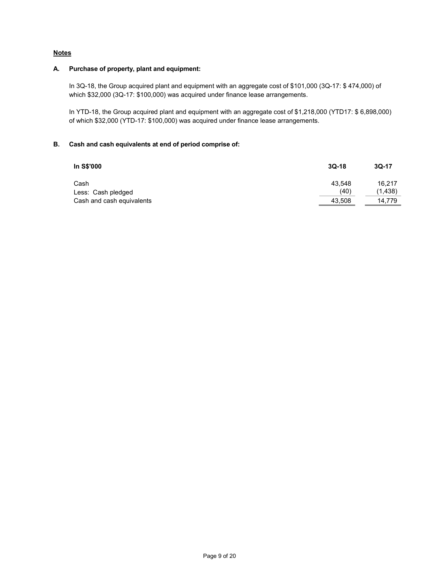# **Notes**

### A. Purchase of property, plant and equipment:

In 3Q-18, the Group acquired plant and equipment with an aggregate cost of \$101,000 (3Q-17: \$ 474,000) of which \$32,000 (3Q-17: \$100,000) was acquired under finance lease arrangements.

In YTD-18, the Group acquired plant and equipment with an aggregate cost of \$1,218,000 (YTD17: \$ 6,898,000) of which \$32,000 (YTD-17: \$100,000) was acquired under finance lease arrangements.

## B. Cash and cash equivalents at end of period comprise of:

| In S\$'000                                      | $3Q-18$        | $3Q-17$           |
|-------------------------------------------------|----------------|-------------------|
| Cash                                            | 43.548<br>(40) | 16.217<br>(1,438) |
| Less: Cash pledged<br>Cash and cash equivalents | 43,508         | 14.779            |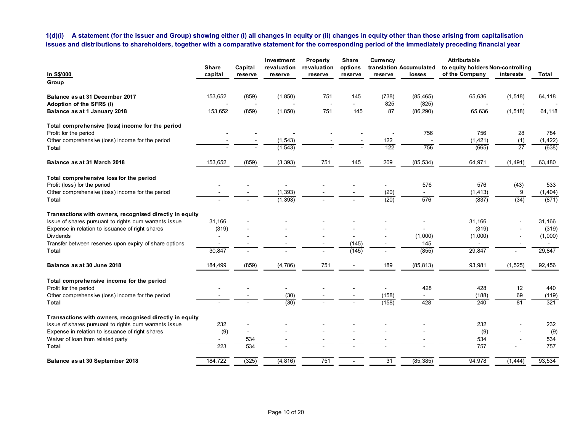|                                                                                                          | <b>Share</b>            | Capital | Investment<br>revaluation | <b>Property</b><br>revaluation  | issues and distributions to shareholders, together with a comparative statement for the corresponding period of the immediately preceding financial year<br>Share<br>options | Currency                 | translation Accumulated             | <b>Attributable</b><br>to equity holders Non-controlling |                        |                   |
|----------------------------------------------------------------------------------------------------------|-------------------------|---------|---------------------------|---------------------------------|------------------------------------------------------------------------------------------------------------------------------------------------------------------------------|--------------------------|-------------------------------------|----------------------------------------------------------|------------------------|-------------------|
| In S\$'000<br>Group                                                                                      | capital                 | reserve | reserve                   | reserve                         | reserve                                                                                                                                                                      | reserve                  | losses                              | of the Company                                           | interests              | Total             |
|                                                                                                          |                         |         |                           |                                 |                                                                                                                                                                              |                          |                                     |                                                          |                        |                   |
| Balance as at 31 December 2017                                                                           | 153,652                 | (859)   | (1, 850)                  | 751                             | 145                                                                                                                                                                          | (738)                    | (85, 465)                           | 65,636                                                   | (1, 518)               | 64,118            |
| Adoption of the SFRS (I)<br>Balance as at 1 January 2018                                                 | 153,652                 | (859)   | (1, 850)                  | $\overline{\phantom{a}}$<br>751 | 145                                                                                                                                                                          | 825<br>87                | (825)<br>(86, 290)                  | 65,636                                                   | (1, 518)               | 64,118            |
|                                                                                                          |                         |         |                           |                                 |                                                                                                                                                                              |                          |                                     |                                                          |                        |                   |
| Total comprehensive (loss) income for the period                                                         |                         |         |                           |                                 |                                                                                                                                                                              |                          |                                     |                                                          |                        |                   |
| Profit for the period                                                                                    |                         |         |                           |                                 |                                                                                                                                                                              | 122                      | 756                                 | 756                                                      | 28                     | 784               |
| Other comprehensive (loss) income for the period<br>Total                                                |                         |         | (1, 543)<br>(1, 543)      |                                 |                                                                                                                                                                              | 122                      | 756                                 | (1, 421)<br>(665)                                        | (1)<br>$\overline{27}$ | (1, 422)<br>(638) |
|                                                                                                          |                         |         |                           |                                 |                                                                                                                                                                              |                          |                                     |                                                          |                        |                   |
| Balance as at 31 March 2018                                                                              | 153,652                 | (859)   | (3, 393)                  | 751                             | $\overline{145}$                                                                                                                                                             | 209                      | (85, 534)                           | 64,971                                                   | (1, 491)               | 63,480            |
| Total comprehensive loss for the period                                                                  |                         |         |                           |                                 |                                                                                                                                                                              |                          |                                     |                                                          |                        |                   |
| Profit (loss) for the period                                                                             |                         |         | $\overline{\phantom{a}}$  |                                 |                                                                                                                                                                              | $\overline{\phantom{a}}$ | 576                                 | 576                                                      | (43)                   | 533               |
| Other comprehensive (loss) income for the period                                                         |                         |         | (1, 393)                  |                                 |                                                                                                                                                                              | (20)                     | $\blacksquare$                      | (1, 413)                                                 | 9                      | (1, 404)          |
| Total                                                                                                    | $\sim$                  | $\sim$  | (1, 393)                  |                                 |                                                                                                                                                                              | (20)                     | 576                                 | (837)                                                    | (34)                   | (871)             |
| Transactions with owners, recognised directly in equity                                                  |                         |         |                           |                                 |                                                                                                                                                                              |                          |                                     |                                                          |                        |                   |
| Issue of shares pursuant to rights cum warrants issue                                                    | 31,166                  |         |                           |                                 |                                                                                                                                                                              |                          |                                     | 31,166                                                   |                        | 31,166            |
| Expense in relation to issuance of right shares<br>Dividends                                             | (319)<br>$\overline{a}$ |         |                           |                                 |                                                                                                                                                                              |                          | $\overline{\phantom{a}}$<br>(1,000) | (319)<br>(1,000)                                         | $\sim$                 | (319)<br>(1,000)  |
| Transfer between reserves upon expiry of share options                                                   | $\sim$                  |         |                           |                                 | (145)                                                                                                                                                                        |                          | 145                                 | $\sim$                                                   |                        | $\sim$            |
| Total                                                                                                    | 30,847                  |         |                           |                                 | (145)                                                                                                                                                                        |                          | (855)                               | 29,847                                                   | $\sim$                 | 29,847            |
| Balance as at 30 June 2018                                                                               | 184,499                 | (859)   | (4,786)                   | 751                             | $\sim$                                                                                                                                                                       | 189                      | (85, 813)                           | 93,981                                                   | (1, 525)               | 92,456            |
|                                                                                                          |                         |         |                           |                                 |                                                                                                                                                                              |                          |                                     |                                                          |                        |                   |
| Total comprehensive income for the period                                                                |                         |         |                           |                                 |                                                                                                                                                                              |                          |                                     |                                                          |                        |                   |
| Profit for the period                                                                                    |                         |         | $\sim$                    | $\overline{\phantom{a}}$        |                                                                                                                                                                              | $\sim$                   | 428                                 | 428                                                      | 12                     | 440               |
| Other comprehensive (loss) income for the period<br>Total                                                |                         |         | (30)<br>(30)              |                                 |                                                                                                                                                                              | (158)<br>(158)           | $\overline{\phantom{a}}$<br>428     | (188)<br>240                                             | 69<br>81               | (119)<br>321      |
|                                                                                                          |                         |         |                           |                                 |                                                                                                                                                                              |                          |                                     |                                                          |                        |                   |
| Transactions with owners, recognised directly in equity                                                  |                         |         |                           |                                 |                                                                                                                                                                              |                          |                                     |                                                          |                        |                   |
| Issue of shares pursuant to rights cum warrants issue<br>Expense in relation to issuance of right shares | 232                     |         |                           |                                 |                                                                                                                                                                              |                          |                                     | 232                                                      |                        | 232               |
| Waiver of loan from related party                                                                        | (9)                     | 534     |                           |                                 |                                                                                                                                                                              |                          |                                     | (9)<br>534                                               | $\blacksquare$         | (9)<br>534        |
| <b>Total</b>                                                                                             | 223                     | 534     |                           |                                 |                                                                                                                                                                              |                          |                                     | 757                                                      |                        | 757               |
|                                                                                                          |                         |         |                           |                                 |                                                                                                                                                                              |                          |                                     |                                                          |                        |                   |
| Balance as at 30 September 2018                                                                          | 184,722                 | (325)   | (4, 816)                  | 751                             | $\overline{\phantom{a}}$                                                                                                                                                     | 31                       | (85, 385)                           | 94,978                                                   | (1, 444)               | 93,534            |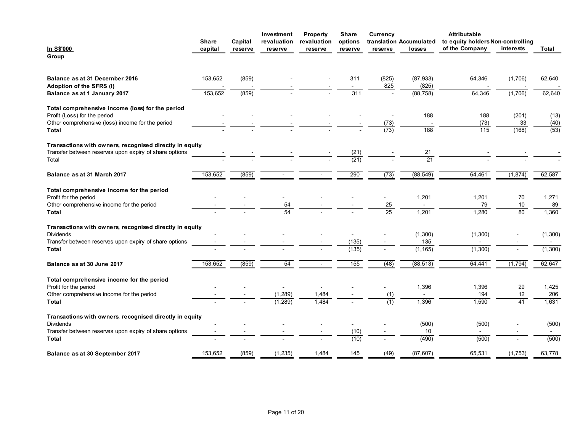|                                                                                  | Share                    | Capital                  | Investment<br>revaluation | Property<br>revaluation | Share<br>options         | Currency                 | translation Accumulated | Attributable<br>to equity holders Non-controlling |              |                   |
|----------------------------------------------------------------------------------|--------------------------|--------------------------|---------------------------|-------------------------|--------------------------|--------------------------|-------------------------|---------------------------------------------------|--------------|-------------------|
| <u>In S\$'000</u><br>Group                                                       | capital                  | reserve                  | reserve                   | reserve                 | reserve                  | reserve                  | losses                  | of the Company                                    | interests    | Total             |
|                                                                                  |                          |                          |                           |                         |                          |                          |                         |                                                   |              |                   |
| Balance as at 31 December 2016                                                   | 153,652                  | (859)                    |                           |                         | 311                      | (825)                    | (87, 933)               | 64,346                                            | (1,706)      | 62,640            |
| Adoption of the SFRS (I)                                                         |                          |                          |                           |                         | $\sim$                   | 825                      | (825)                   |                                                   |              |                   |
| Balance as at 1 January 2017                                                     | 153,652                  | (859)                    |                           |                         | 311                      | $\sim$                   | (88, 758)               | 64,346                                            | (1,706)      | 62,640            |
| Total comprehensive income (loss) for the period                                 |                          |                          |                           |                         |                          |                          |                         |                                                   |              |                   |
| Profit (Loss) for the period<br>Other comprehensive (loss) income for the period |                          |                          |                           |                         |                          | (73)                     | 188                     | 188<br>(73)                                       | (201)<br>33  | (13)<br>(40)      |
| Total                                                                            |                          |                          |                           |                         |                          | (73)                     | $\overline{188}$        | $\overline{115}$                                  | (168)        | $\overline{(53)}$ |
| Transactions with owners, recognised directly in equity                          |                          |                          |                           |                         |                          |                          |                         |                                                   |              |                   |
| Transfer between reserves upon expiry of share options<br>Total                  |                          |                          |                           |                         | (21)<br>(21)             |                          | 21<br>$\overline{21}$   |                                                   |              |                   |
|                                                                                  |                          |                          |                           |                         |                          |                          |                         |                                                   |              |                   |
| Balance as at 31 March 2017                                                      | 153,652                  | (859)                    | $\sim$                    | $\sim$                  | 290                      | (73)                     | (88, 549)               | 64,461                                            | (1, 874)     | 62,587            |
| Total comprehensive income for the period                                        |                          |                          |                           |                         |                          |                          |                         |                                                   |              |                   |
| Profit for the period<br>Other comprehensive income for the period               | $\overline{\phantom{a}}$ | $\sim$                   | $\sim$<br>54              | $\sim$                  | $\overline{\phantom{a}}$ | $\sim$<br>25             | 1,201<br>$\sim$         | 1,201<br>79                                       | 70<br>$10\,$ | 1,271<br>89       |
| Total                                                                            |                          |                          | 54                        |                         |                          | 25                       | 1,201                   | 1,280                                             | 80           | 1,360             |
| Transactions with owners, recognised directly in equity                          |                          |                          |                           |                         |                          |                          |                         |                                                   |              |                   |
| Dividends                                                                        |                          |                          |                           |                         | $\blacksquare$           |                          | (1,300)                 | (1,300)                                           |              | (1, 300)          |
| Transfer between reserves upon expiry of share options<br>Total                  |                          |                          |                           |                         | (135)<br>(135)           | $\overline{\phantom{a}}$ | 135<br>(1, 165)         | $\sim$<br>(1,300)                                 | $\sim$       | $\sim$<br>(1,300) |
| Balance as at 30 June 2017                                                       | 153,652                  | (859)                    | 54                        | $\sim$                  | $\overline{155}$         | (48)                     | (88, 513)               | 64,441                                            | (1,794)      | 62,647            |
|                                                                                  |                          |                          |                           |                         |                          |                          |                         |                                                   |              |                   |
| Total comprehensive income for the period<br>Profit for the period               |                          | $\sim$                   | $\sim$                    | $\sim$                  |                          | $\sim$                   | 1,396                   | 1,396                                             | 29           | 1,425             |
| Other comprehensive income for the period                                        |                          |                          | (1, 289)                  | 1,484                   |                          | (1)                      | $\sim$                  | 194                                               | 12           | 206               |
| Total                                                                            |                          |                          | (1, 289)                  | 1,484                   |                          | (1)                      | 1,396                   | 1,590                                             | 41           | 1,631             |
| Transactions with owners, recognised directly in equity                          |                          |                          |                           |                         |                          |                          |                         |                                                   |              |                   |
| Dividends<br>Transfer between reserves upon expiry of share options              |                          |                          |                           |                         | $\sim$<br>(10)           | $\overline{\phantom{a}}$ | (500)<br>10             | (500)<br>$\sim$                                   |              | (500)<br>$\sim$   |
| Total                                                                            |                          | $\overline{\phantom{0}}$ | $\overline{\phantom{a}}$  |                         | (10)                     | $\overline{\phantom{a}}$ | (490)                   | (500)                                             | $\sim$       | (500)             |
|                                                                                  |                          |                          |                           |                         |                          |                          |                         |                                                   |              |                   |
| Balance as at 30 September 2017                                                  | 153,652                  | (859)                    | (1, 235)                  | 1,484                   | 145                      | (49)                     | (87, 607)               | 65,531                                            | (1,753)      | 63,778            |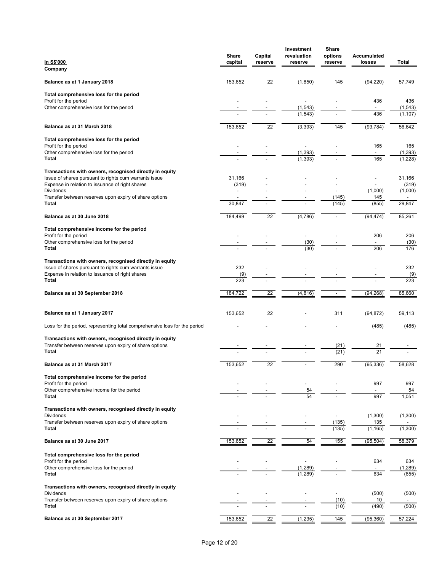| In S\$'000<br>Company                                                                                                                                               | Share<br>capital | Capital<br>reserve | Investment<br>revaluation<br>reserve | Share<br>options<br>reserve              | Accumulated<br>losses           | Total                       |
|---------------------------------------------------------------------------------------------------------------------------------------------------------------------|------------------|--------------------|--------------------------------------|------------------------------------------|---------------------------------|-----------------------------|
| Balance as at 1 January 2018                                                                                                                                        | 153,652          | 22                 | (1, 850)                             | 145                                      | (94, 220)                       | 57,749                      |
| Total comprehensive loss for the period                                                                                                                             |                  |                    |                                      |                                          |                                 |                             |
| Profit for the period<br>Other comprehensive loss for the period                                                                                                    |                  |                    | $\blacksquare$<br>(1, 543)           |                                          | 436<br>$\overline{\phantom{a}}$ | 436<br>(1, 543)             |
|                                                                                                                                                                     |                  |                    | (1, 543)                             |                                          | 436                             | (1, 107)                    |
| Balance as at 31 March 2018                                                                                                                                         | 153,652          | $\overline{22}$    | (3, 393)                             | $\frac{145}{2}$                          | (93, 784)                       | 56,642                      |
| Total comprehensive loss for the period<br>Profit for the period                                                                                                    |                  |                    | $\blacksquare$                       |                                          | 165                             | 165                         |
| Other comprehensive loss for the period<br><b>Total</b>                                                                                                             |                  |                    | (1, 393)<br>(1, 393)                 |                                          | $\sim$<br>165                   | (1, 393)<br>(1,228)         |
| Transactions with owners, recognised directly in equity                                                                                                             |                  |                    |                                      |                                          |                                 |                             |
| Issue of shares pursuant to rights cum warrants issue<br>Expense in relation to issuance of right shares                                                            | 31,166<br>(319)  |                    |                                      |                                          |                                 | 31,166<br>(319)             |
| Dividends<br>Transfer between reserves upon expiry of share options<br>Total                                                                                        | 30,847           |                    |                                      | (145)<br>(145)                           | (1,000)<br>145<br>(855)         | (1,000)<br>$\sim$<br>29,847 |
| Balance as at 30 June 2018                                                                                                                                          | 184,499          | $\overline{22}$    | (4, 786)                             | $\overline{\phantom{0}}$                 | (94, 474)                       | 85,261                      |
| Total comprehensive income for the period                                                                                                                           |                  |                    |                                      |                                          |                                 |                             |
| Profit for the period<br>Other comprehensive loss for the period                                                                                                    |                  |                    | $\overline{\phantom{a}}$<br>(30)     |                                          | 206                             | 206<br>(30)                 |
| <b>Total</b>                                                                                                                                                        |                  |                    | (30)                                 |                                          | 206                             | 176                         |
| Transactions with owners, recognised directly in equity<br>Issue of shares pursuant to rights cum warrants issue<br>Expense in relation to issuance of right shares | 232<br>(9)       |                    |                                      |                                          |                                 | 232<br>(9)                  |
| <b>Total</b>                                                                                                                                                        | 223              |                    |                                      |                                          |                                 | 223                         |
| Balance as at 30 September 2018                                                                                                                                     | 184,722          | 22                 | (4, 816)                             | $\overline{\phantom{a}}$                 | (94, 268)                       | 85,660                      |
| Balance as at 1 January 2017                                                                                                                                        | 153,652          | 22                 |                                      | 311                                      | (94, 872)                       | 59,113                      |
| Loss for the period, representing total comprehensive loss for the period                                                                                           |                  |                    |                                      |                                          | (485)                           | (485)                       |
| Transactions with owners, recognised directly in equity<br>Transfer between reserves upon expiry of share options<br><b>Total</b>                                   |                  |                    |                                      | (21)<br>(21)                             | 21<br>$\overline{21}$           |                             |
| Balance as at 31 March 2017                                                                                                                                         | 153,652          | $\overline{22}$    |                                      | 290                                      | (95, 336)                       | 58,628                      |
| Total comprehensive income for the period                                                                                                                           |                  |                    |                                      |                                          |                                 |                             |
| Profit for the period<br>Other comprehensive income for the period<br><b>Total</b>                                                                                  |                  |                    | 54<br>54                             |                                          | 997<br>997                      | 997<br>54<br>1,051          |
| Transactions with owners, recognised directly in equity                                                                                                             |                  |                    |                                      |                                          |                                 |                             |
| Dividends<br>Transfer between reserves upon expiry of share options                                                                                                 |                  |                    |                                      | $\overline{\phantom{a}}$<br>(135)        | (1,300)<br>135                  | (1,300)                     |
| Total                                                                                                                                                               |                  |                    |                                      | (135)                                    | (1, 165)                        | (1,300)                     |
| Balance as at 30 June 2017                                                                                                                                          | 153,652          | 22                 | 54                                   | 155                                      | (95, 504)                       | 58,379                      |
| Total comprehensive loss for the period<br>Profit for the period                                                                                                    |                  |                    | $\blacksquare$                       | $\overline{\phantom{a}}$                 | 634                             | 634                         |
| Other comprehensive loss for the period<br><b>Total</b>                                                                                                             |                  |                    | (1, 289)<br>(1, 289)                 |                                          | 634                             | (1, 289)<br>(655)           |
| Transactions with owners, recognised directly in equity                                                                                                             |                  |                    |                                      |                                          |                                 |                             |
| Dividends<br>Transfer between reserves upon expiry of share options<br><b>Total</b>                                                                                 |                  |                    |                                      | $\overline{\phantom{a}}$<br>(10)<br>(10) | (500)<br>10<br>(490)            | (500)                       |
| Balance as at 30 September 2017                                                                                                                                     | 153,652          | $\overline{22}$    | (1, 235)                             | $\frac{145}{2}$                          | (95, 360)                       | (500)<br>57,224             |
|                                                                                                                                                                     |                  |                    |                                      |                                          |                                 |                             |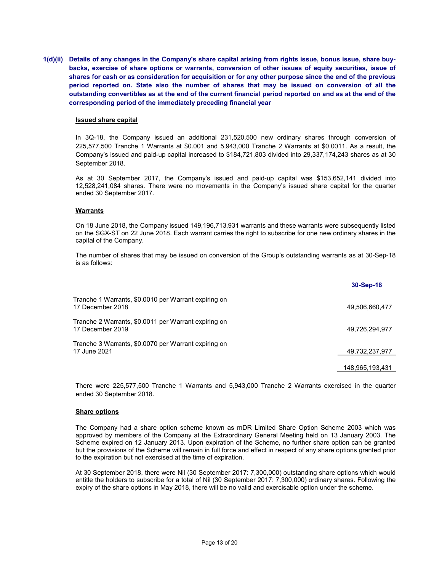1(d)(ii) Details of any changes in the Company's share capital arising from rights issue, bonus issue, share buybacks, exercise of share options or warrants, conversion of other issues of equity securities, issue of shares for cash or as consideration for acquisition or for any other purpose since the end of the previous period reported on. State also the number of shares that may be issued on conversion of all the outstanding convertibles as at the end of the current financial period reported on and as at the end of the corresponding period of the immediately preceding financial year

#### Issued share capital

In 3Q-18, the Company issued an additional 231,520,500 new ordinary shares through conversion of 225,577,500 Tranche 1 Warrants at \$0.001 and 5,943,000 Tranche 2 Warrants at \$0.0011. As a result, the Company's issued and paid-up capital increased to \$184,721,803 divided into 29,337,174,243 shares as at 30 September 2018.

As at 30 September 2017, the Company's issued and paid-up capital was \$153,652,141 divided into 12,528,241,084 shares. There were no movements in the Company's issued share capital for the quarter ended 30 September 2017.

### **Warrants**

On 18 June 2018, the Company issued 149,196,713,931 warrants and these warrants were subsequently listed on the SGX-ST on 22 June 2018. Each warrant carries the right to subscribe for one new ordinary shares in the capital of the Company.

The number of shares that may be issued on conversion of the Group's outstanding warrants as at 30-Sep-18 is as follows:

|                                                                          | 30-Sep-18       |
|--------------------------------------------------------------------------|-----------------|
| Tranche 1 Warrants, \$0.0010 per Warrant expiring on<br>17 December 2018 | 49,506,660,477  |
| Tranche 2 Warrants, \$0.0011 per Warrant expiring on<br>17 December 2019 | 49,726,294,977  |
| Tranche 3 Warrants, \$0.0070 per Warrant expiring on<br>17 June 2021     | 49,732,237,977  |
|                                                                          | 148,965,193,431 |

There were 225,577,500 Tranche 1 Warrants and 5,943,000 Tranche 2 Warrants exercised in the quarter ended 30 September 2018.

#### Share options

The Company had a share option scheme known as mDR Limited Share Option Scheme 2003 which was approved by members of the Company at the Extraordinary General Meeting held on 13 January 2003. The Scheme expired on 12 January 2013. Upon expiration of the Scheme, no further share option can be granted but the provisions of the Scheme will remain in full force and effect in respect of any share options granted prior to the expiration but not exercised at the time of expiration.

At 30 September 2018, there were Nil (30 September 2017: 7,300,000) outstanding share options which would entitle the holders to subscribe for a total of Nil (30 September 2017: 7,300,000) ordinary shares. Following the expiry of the share options in May 2018, there will be no valid and exercisable option under the scheme.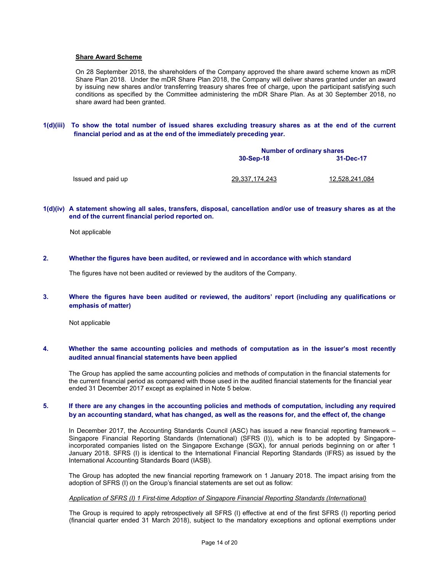#### Share Award Scheme

On 28 September 2018, the shareholders of the Company approved the share award scheme known as mDR Share Plan 2018. Under the mDR Share Plan 2018, the Company will deliver shares granted under an award by issuing new shares and/or transferring treasury shares free of charge, upon the participant satisfying such conditions as specified by the Committee administering the mDR Share Plan. As at 30 September 2018, no share award had been granted.

1(d)(iii) To show the total number of issued shares excluding treasury shares as at the end of the current financial period and as at the end of the immediately preceding year.

|                    |                | <b>Number of ordinary shares</b> |  |  |  |
|--------------------|----------------|----------------------------------|--|--|--|
|                    | 30-Sep-18      | 31-Dec-17                        |  |  |  |
| Issued and paid up | 29,337,174,243 | 12,528,241,084                   |  |  |  |

#### 1(d)(iv) A statement showing all sales, transfers, disposal, cancellation and/or use of treasury shares as at the end of the current financial period reported on.

Not applicable

### 2. Whether the figures have been audited, or reviewed and in accordance with which standard

The figures have not been audited or reviewed by the auditors of the Company.

### 3. Where the figures have been audited or reviewed, the auditors' report (including any qualifications or emphasis of matter)

Not applicable

#### 4. Whether the same accounting policies and methods of computation as in the issuer's most recently audited annual financial statements have been applied

The Group has applied the same accounting policies and methods of computation in the financial statements for the current financial period as compared with those used in the audited financial statements for the financial year ended 31 December 2017 except as explained in Note 5 below.

#### 5. If there are any changes in the accounting policies and methods of computation, including any required by an accounting standard, what has changed, as well as the reasons for, and the effect of, the change

In December 2017, the Accounting Standards Council (ASC) has issued a new financial reporting framework – Singapore Financial Reporting Standards (International) (SFRS (I)), which is to be adopted by Singaporeincorporated companies listed on the Singapore Exchange (SGX), for annual periods beginning on or after 1 January 2018. SFRS (I) is identical to the International Financial Reporting Standards (IFRS) as issued by the International Accounting Standards Board (IASB).

The Group has adopted the new financial reporting framework on 1 January 2018. The impact arising from the adoption of SFRS (I) on the Group's financial statements are set out as follow:

#### Application of SFRS (I) 1 First-time Adoption of Singapore Financial Reporting Standards (International)

The Group is required to apply retrospectively all SFRS (I) effective at end of the first SFRS (I) reporting period (financial quarter ended 31 March 2018), subject to the mandatory exceptions and optional exemptions under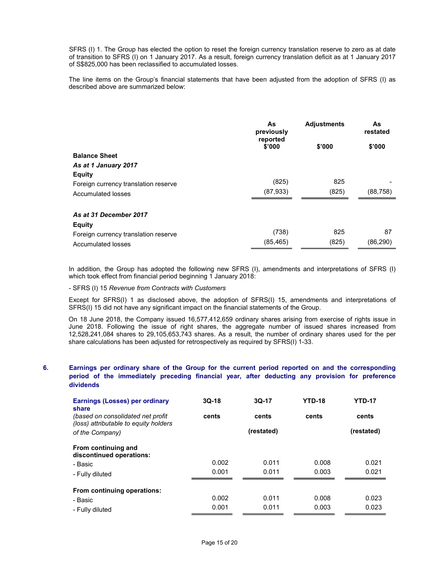SFRS (I) 1. The Group has elected the option to reset the foreign currency translation reserve to zero as at date of transition to SFRS (I) on 1 January 2017. As a result, foreign currency translation deficit as at 1 January 2017 of S\$825,000 has been reclassified to accumulated losses.

The line items on the Group's financial statements that have been adjusted from the adoption of SFRS (I) as described above are summarized below:

|                                      | As<br>previously   | <b>Adjustments</b> | As<br>restated |  |
|--------------------------------------|--------------------|--------------------|----------------|--|
|                                      | reported<br>\$'000 | \$'000             | \$'000         |  |
| <b>Balance Sheet</b>                 |                    |                    |                |  |
| As at 1 January 2017                 |                    |                    |                |  |
| <b>Equity</b>                        |                    |                    |                |  |
| Foreign currency translation reserve | (825)              | 825                |                |  |
| Accumulated losses                   | (87, 933)          | (825)              | (88,758)       |  |
| As at 31 December 2017               |                    |                    |                |  |
| <b>Equity</b>                        |                    |                    |                |  |
| Foreign currency translation reserve | (738)              | 825                | 87             |  |
| Accumulated losses                   | (85, 465)          | (825)              | (86,290)       |  |

In addition, the Group has adopted the following new SFRS (I), amendments and interpretations of SFRS (I) which took effect from financial period beginning 1 January 2018:

- SFRS (I) 15 Revenue from Contracts with Customers

Except for SFRS(I) 1 as disclosed above, the adoption of SFRS(I) 15, amendments and interpretations of SFRS(I) 15 did not have any significant impact on the financial statements of the Group.

 On 18 June 2018, the Company issued 16,577,412,659 ordinary shares arising from exercise of rights issue in June 2018. Following the issue of right shares, the aggregate number of issued shares increased from 12,528,241,084 shares to 29,105,653,743 shares. As a result, the number of ordinary shares used for the per share calculations has been adjusted for retrospectively as required by SFRS(I) 1-33.

### 6. Earnings per ordinary share of the Group for the current period reported on and the corresponding period of the immediately preceding financial year, after deducting any provision for preference dividends

| Earnings (Losses) per ordinary<br>share                                     | $3Q-18$ | $3Q-17$    | <b>YTD-18</b> | <b>YTD-17</b> |  |
|-----------------------------------------------------------------------------|---------|------------|---------------|---------------|--|
| (based on consolidated net profit)<br>(loss) attributable to equity holders | cents   | cents      | cents         | cents         |  |
| of the Company)                                                             |         | (restated) |               | (restated)    |  |
| From continuing and<br>discontinued operations:                             |         |            |               |               |  |
| - Basic                                                                     | 0.002   | 0.011      | 0.008         | 0.021         |  |
| - Fully diluted                                                             | 0.001   | 0.011      | 0.003         | 0.021         |  |
| From continuing operations:                                                 |         |            |               |               |  |
| - Basic                                                                     | 0.002   | 0.011      | 0.008         | 0.023         |  |
| - Fully diluted                                                             | 0.001   | 0.011      | 0.003         | 0.023         |  |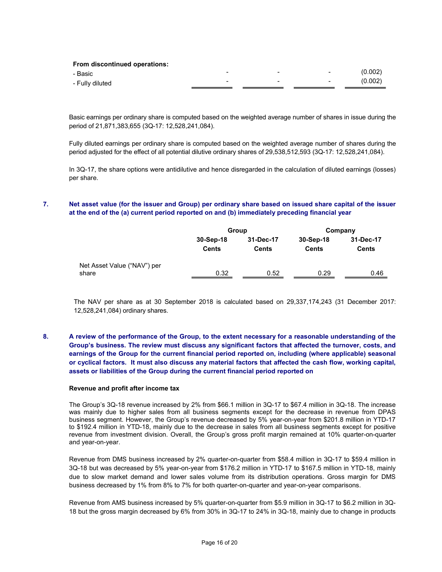| <b>From discontinued operations:</b> |   |   |        |         |
|--------------------------------------|---|---|--------|---------|
| - Basic                              | - | - | $\sim$ | (0.002) |
| - Fully diluted                      |   | - | $\sim$ | (0.002) |

Basic earnings per ordinary share is computed based on the weighted average number of shares in issue during the period of 21,871,383,655 (3Q-17: 12,528,241,084).

Fully diluted earnings per ordinary share is computed based on the weighted average number of shares during the period adjusted for the effect of all potential dilutive ordinary shares of 29,538,512,593 (3Q-17: 12,528,241,084).

In 3Q-17, the share options were antidilutive and hence disregarded in the calculation of diluted earnings (losses) per share.

### 7. Net asset value (for the issuer and Group) per ordinary share based on issued share capital of the issuer at the end of the (a) current period reported on and (b) immediately preceding financial year

|                             |                           | Group                     | Company                   |                           |  |
|-----------------------------|---------------------------|---------------------------|---------------------------|---------------------------|--|
|                             | 30-Sep-18<br><b>Cents</b> | 31-Dec-17<br><b>Cents</b> | 30-Sep-18<br><b>Cents</b> | 31-Dec-17<br><b>Cents</b> |  |
| Net Asset Value ("NAV") per |                           |                           |                           |                           |  |
| share                       | 0.32                      | 0.52                      | 0.29                      | 0.46                      |  |

The NAV per share as at 30 September 2018 is calculated based on 29,337,174,243 (31 December 2017: 12,528,241,084) ordinary shares.

8. A review of the performance of the Group, to the extent necessary for a reasonable understanding of the Group's business. The review must discuss any significant factors that affected the turnover, costs, and earnings of the Group for the current financial period reported on, including (where applicable) seasonal or cyclical factors. It must also discuss any material factors that affected the cash flow, working capital, assets or liabilities of the Group during the current financial period reported on

#### Revenue and profit after income tax

The Group's 3Q-18 revenue increased by 2% from \$66.1 million in 3Q-17 to \$67.4 million in 3Q-18. The increase was mainly due to higher sales from all business segments except for the decrease in revenue from DPAS business segment. However, the Group's revenue decreased by 5% year-on-year from \$201.8 million in YTD-17 to \$192.4 million in YTD-18, mainly due to the decrease in sales from all business segments except for positive revenue from investment division. Overall, the Group's gross profit margin remained at 10% quarter-on-quarter and year-on-year.

Revenue from DMS business increased by 2% quarter-on-quarter from \$58.4 million in 3Q-17 to \$59.4 million in 3Q-18 but was decreased by 5% year-on-year from \$176.2 million in YTD-17 to \$167.5 million in YTD-18, mainly due to slow market demand and lower sales volume from its distribution operations. Gross margin for DMS business decreased by 1% from 8% to 7% for both quarter-on-quarter and year-on-year comparisons.

Revenue from AMS business increased by 5% quarter-on-quarter from \$5.9 million in 3Q-17 to \$6.2 million in 3Q-18 but the gross margin decreased by 6% from 30% in 3Q-17 to 24% in 3Q-18, mainly due to change in products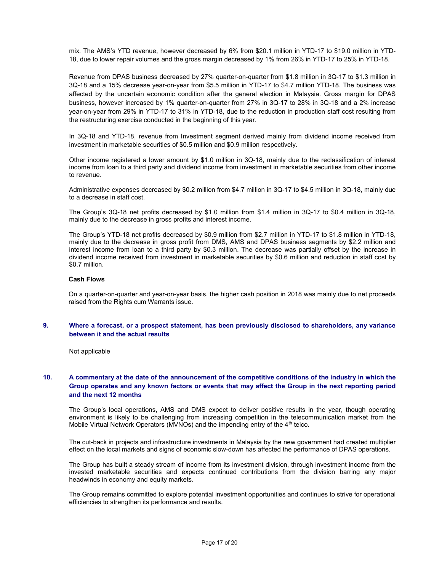mix. The AMS's YTD revenue, however decreased by 6% from \$20.1 million in YTD-17 to \$19.0 million in YTD-18, due to lower repair volumes and the gross margin decreased by 1% from 26% in YTD-17 to 25% in YTD-18.

Revenue from DPAS business decreased by 27% quarter-on-quarter from \$1.8 million in 3Q-17 to \$1.3 million in 3Q-18 and a 15% decrease year-on-year from \$5.5 million in YTD-17 to \$4.7 million YTD-18. The business was affected by the uncertain economic condition after the general election in Malaysia. Gross margin for DPAS business, however increased by 1% quarter-on-quarter from 27% in 3Q-17 to 28% in 3Q-18 and a 2% increase year-on-year from 29% in YTD-17 to 31% in YTD-18, due to the reduction in production staff cost resulting from the restructuring exercise conducted in the beginning of this year.

In 3Q-18 and YTD-18, revenue from Investment segment derived mainly from dividend income received from investment in marketable securities of \$0.5 million and \$0.9 million respectively.

Other income registered a lower amount by \$1.0 million in 3Q-18, mainly due to the reclassification of interest income from loan to a third party and dividend income from investment in marketable securities from other income to revenue.

Administrative expenses decreased by \$0.2 million from \$4.7 million in 3Q-17 to \$4.5 million in 3Q-18, mainly due to a decrease in staff cost.

The Group's 3Q-18 net profits decreased by \$1.0 million from \$1.4 million in 3Q-17 to \$0.4 million in 3Q-18, mainly due to the decrease in gross profits and interest income.

The Group's YTD-18 net profits decreased by \$0.9 million from \$2.7 million in YTD-17 to \$1.8 million in YTD-18, mainly due to the decrease in gross profit from DMS, AMS and DPAS business segments by \$2.2 million and interest income from loan to a third party by \$0.3 million. The decrease was partially offset by the increase in dividend income received from investment in marketable securities by \$0.6 million and reduction in staff cost by \$0.7 million.

### Cash Flows

On a quarter-on-quarter and year-on-year basis, the higher cash position in 2018 was mainly due to net proceeds raised from the Rights cum Warrants issue.

### 9. Where a forecast, or a prospect statement, has been previously disclosed to shareholders, any variance between it and the actual results

Not applicable

### 10. A commentary at the date of the announcement of the competitive conditions of the industry in which the Group operates and any known factors or events that may affect the Group in the next reporting period and the next 12 months

The Group's local operations, AMS and DMS expect to deliver positive results in the year, though operating environment is likely to be challenging from increasing competition in the telecommunication market from the Mobile Virtual Network Operators (MVNOs) and the impending entry of the  $4<sup>th</sup>$  telco.

The cut-back in projects and infrastructure investments in Malaysia by the new government had created multiplier effect on the local markets and signs of economic slow-down has affected the performance of DPAS operations.

The Group has built a steady stream of income from its investment division, through investment income from the invested marketable securities and expects continued contributions from the division barring any major headwinds in economy and equity markets.

The Group remains committed to explore potential investment opportunities and continues to strive for operational efficiencies to strengthen its performance and results.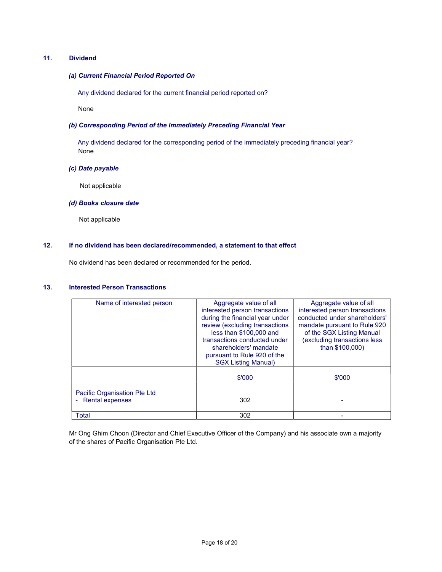### 11. Dividend

### (a) Current Financial Period Reported On

Any dividend declared for the current financial period reported on?

None

### (b) Corresponding Period of the Immediately Preceding Financial Year

 Any dividend declared for the corresponding period of the immediately preceding financial year? None

### (c) Date payable

Not applicable

### (d) Books closure date

Not applicable

### 12. If no dividend has been declared/recommended, a statement to that effect

No dividend has been declared or recommended for the period.

## 13. Interested Person Transactions

| Name of interested person                              | Aggregate value of all<br>interested person transactions<br>during the financial year under<br>review (excluding transactions<br>less than \$100,000 and<br>transactions conducted under<br>shareholders' mandate<br>pursuant to Rule 920 of the<br><b>SGX Listing Manual)</b> | Aggregate value of all<br>interested person transactions<br>conducted under shareholders'<br>mandate pursuant to Rule 920<br>of the SGX Listing Manual<br>(excluding transactions less<br>than \$100,000) |
|--------------------------------------------------------|--------------------------------------------------------------------------------------------------------------------------------------------------------------------------------------------------------------------------------------------------------------------------------|-----------------------------------------------------------------------------------------------------------------------------------------------------------------------------------------------------------|
|                                                        | \$'000                                                                                                                                                                                                                                                                         | \$'000                                                                                                                                                                                                    |
| Pacific Organisation Pte Ltd<br><b>Rental expenses</b> | 302                                                                                                                                                                                                                                                                            |                                                                                                                                                                                                           |
| Total                                                  | 302                                                                                                                                                                                                                                                                            |                                                                                                                                                                                                           |

Mr Ong Ghim Choon (Director and Chief Executive Officer of the Company) and his associate own a majority of the shares of Pacific Organisation Pte Ltd.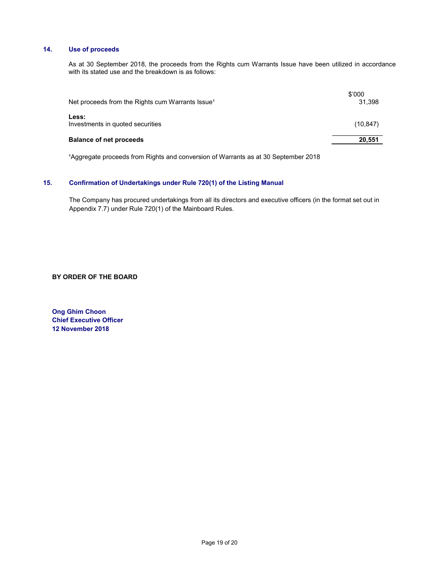### 14. Use of proceeds

 As at 30 September 2018, the proceeds from the Rights cum Warrants Issue have been utilized in accordance with its stated use and the breakdown is as follows:

| Net proceeds from the Rights cum Warrants Issue <sup>1</sup> | \$'000<br>31.398 |
|--------------------------------------------------------------|------------------|
| Less:<br>Investments in quoted securities                    | (10, 847)        |
| <b>Balance of net proceeds</b>                               | 20,551           |

<sup>1</sup>Aggregate proceeds from Rights and conversion of Warrants as at 30 September 2018

## 15. Confirmation of Undertakings under Rule 720(1) of the Listing Manual

The Company has procured undertakings from all its directors and executive officers (in the format set out in Appendix 7.7) under Rule 720(1) of the Mainboard Rules.

BY ORDER OF THE BOARD

Ong Ghim Choon Chief Executive Officer 12 November 2018